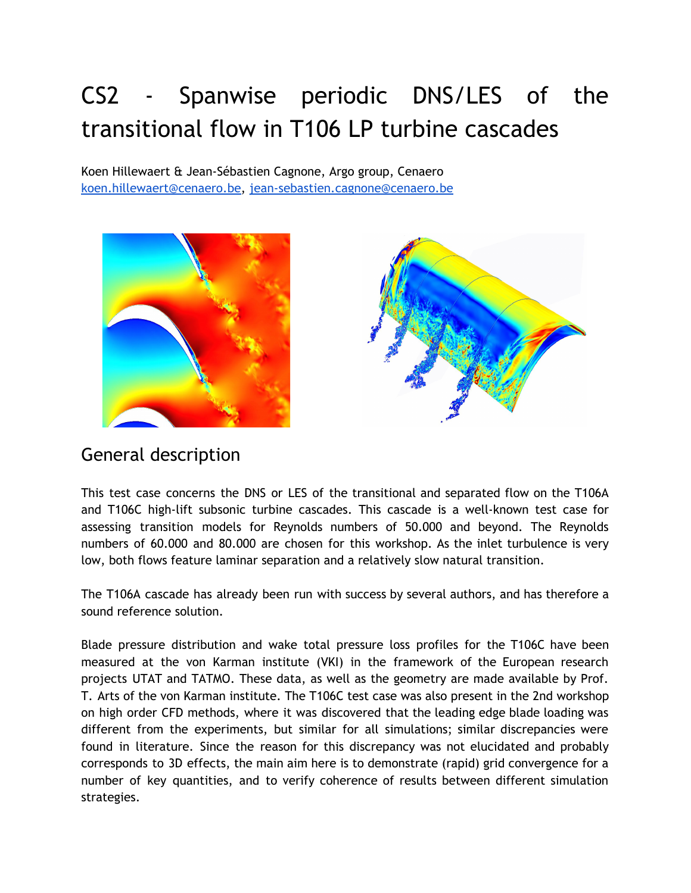# CS2 - Spanwise periodic DNS/LES of the transitional flow in T106 LP turbine cascades

Koen Hillewaert & Jean-Sébastien Cagnone, Argo group, Cenaero [koen.hillewaert@cenaero.be,](mailto:koen.hillewaert@cenaero.be) [jean-sebastien.cagnone@cenaero.be](mailto:jean-sebastien.cagnone@cenaero.be)





## General description

This test case concerns the DNS or LES of the transitional and separated flow on the T106A and T106C high-lift subsonic turbine cascades. This cascade is a well-known test case for assessing transition models for Reynolds numbers of 50.000 and beyond. The Reynolds numbers of 60.000 and 80.000 are chosen for this workshop. As the inlet turbulence is very low, both flows feature laminar separation and a relatively slow natural transition.

The T106A cascade has already been run with success by several authors, and has therefore a sound reference solution.

Blade pressure distribution and wake total pressure loss profiles for the T106C have been measured at the von Karman institute (VKI) in the framework of the European research projects UTAT and TATMO. These data, as well as the geometry are made available by Prof. T. Arts of the von Karman institute. The T106C test case was also present in the 2nd workshop on high order CFD methods, where it was discovered that the leading edge blade loading was different from the experiments, but similar for all simulations; similar discrepancies were found in literature. Since the reason for this discrepancy was not elucidated and probably corresponds to 3D effects, the main aim here is to demonstrate (rapid) grid convergence for a number of key quantities, and to verify coherence of results between different simulation strategies.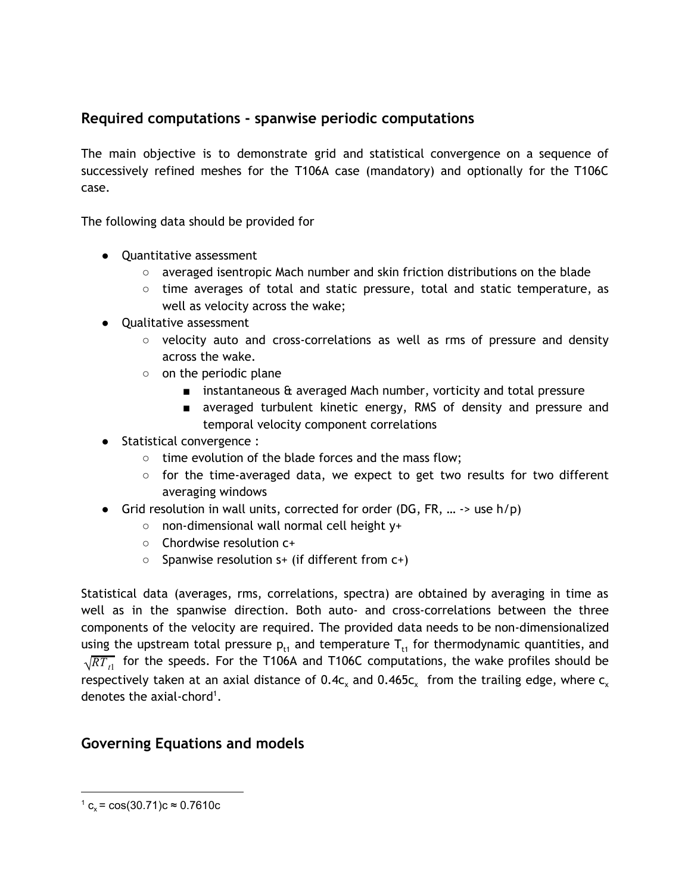### **Required computations - spanwise periodic computations**

The main objective is to demonstrate grid and statistical convergence on a sequence of successively refined meshes for the T106A case (mandatory) and optionally for the T106C case.

The following data should be provided for

- Quantitative assessment
	- averaged isentropic Mach number and skin friction distributions on the blade
	- time averages of total and static pressure, total and static temperature, as well as velocity across the wake;
- Qualitative assessment
	- velocity auto and cross-correlations as well as rms of pressure and density across the wake.
	- on the periodic plane
		- instantaneous & averaged Mach number, vorticity and total pressure
		- averaged turbulent kinetic energy, RMS of density and pressure and temporal velocity component correlations
- Statistical convergence :
	- time evolution of the blade forces and the mass flow;
	- $\circ$  for the time-averaged data, we expect to get two results for two different averaging windows
- Grid resolution in wall units, corrected for order (DG, FR, ...  $\rightarrow$  use h/p)
	- non-dimensional wall normal cell height y+
	- Chordwise resolution c+
	- $\circ$  Spanwise resolution s+ (if different from  $c+$ )

Statistical data (averages, rms, correlations, spectra) are obtained by averaging in time as well as in the spanwise direction. Both auto- and cross-correlations between the three components of the velocity are required. The provided data needs to be non-dimensionalized using the upstream total pressure  $p_{t1}$  and temperature  $T_{t1}$  for thermodynamic quantities, and  $\sqrt{RT_{t1}}$  for the speeds. For the T106A and T106C computations, the wake profiles should be respectively taken at an axial distance of 0.4c<sub>x</sub> and 0.465c<sub>x</sub> from the trailing edge, where c<sub>x</sub> denotes the axial-chord<sup>1</sup>.

### **Governing Equations and models**

 $1 \text{ c}_x = \cos(30.71) \text{ c} \approx 0.7610 \text{ c}$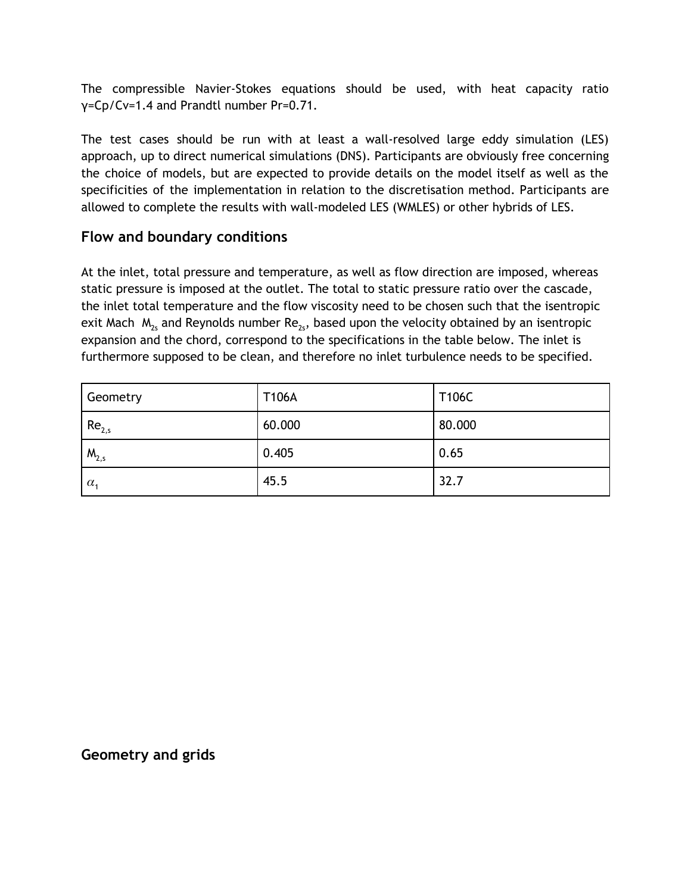The compressible Navier-Stokes equations should be used, with heat capacity ratio γ=Cp/Cv=1.4 and Prandtl number Pr=0.71.

The test cases should be run with at least a wall-resolved large eddy simulation (LES) approach, up to direct numerical simulations (DNS). Participants are obviously free concerning the choice of models, but are expected to provide details on the model itself as well as the specificities of the implementation in relation to the discretisation method. Participants are allowed to complete the results with wall-modeled LES (WMLES) or other hybrids of LES.

### **Flow and boundary conditions**

At the inlet, total pressure and temperature, as well as flow direction are imposed, whereas static pressure is imposed at the outlet. The total to static pressure ratio over the cascade, the inlet total temperature and the flow viscosity need to be chosen such that the isentropic exit Mach  $\rm\ M_{2s}$  and Reynolds number Re $_{2s}$ , based upon the velocity obtained by an isentropic expansion and the chord, correspond to the specifications in the table below. The inlet is furthermore supposed to be clean, and therefore no inlet turbulence needs to be specified.

| Geometry          | T106A  | T106C  |
|-------------------|--------|--------|
| Re <sub>2,s</sub> | 60.000 | 80.000 |
| $M_{2,s}$         | 0.405  | 0.65   |
| $\alpha_{1}$      | 45.5   | 32.7   |

#### **Geometry and grids**